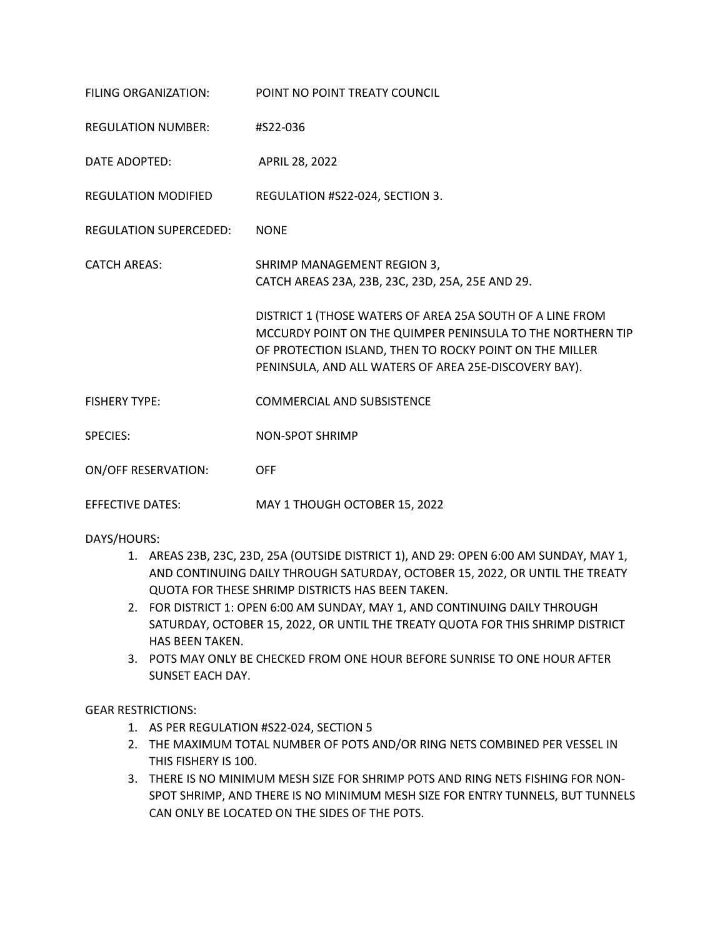| FILING ORGANIZATION:          | POINT NO POINT TREATY COUNCIL                                                                                                                                                                                                               |
|-------------------------------|---------------------------------------------------------------------------------------------------------------------------------------------------------------------------------------------------------------------------------------------|
| <b>REGULATION NUMBER:</b>     | #S22-036                                                                                                                                                                                                                                    |
| DATE ADOPTED:                 | <b>APRIL 28, 2022</b>                                                                                                                                                                                                                       |
| <b>REGULATION MODIFIED</b>    | REGULATION #S22-024, SECTION 3.                                                                                                                                                                                                             |
| <b>REGULATION SUPERCEDED:</b> | <b>NONE</b>                                                                                                                                                                                                                                 |
| <b>CATCH AREAS:</b>           | SHRIMP MANAGEMENT REGION 3,<br>CATCH AREAS 23A, 23B, 23C, 23D, 25A, 25E AND 29.                                                                                                                                                             |
|                               | DISTRICT 1 (THOSE WATERS OF AREA 25A SOUTH OF A LINE FROM<br>MCCURDY POINT ON THE QUIMPER PENINSULA TO THE NORTHERN TIP<br>OF PROTECTION ISLAND, THEN TO ROCKY POINT ON THE MILLER<br>PENINSULA, AND ALL WATERS OF AREA 25E-DISCOVERY BAY). |
| <b>FISHERY TYPE:</b>          | <b>COMMERCIAL AND SUBSISTENCE</b>                                                                                                                                                                                                           |
| <b>SPECIES:</b>               | <b>NON-SPOT SHRIMP</b>                                                                                                                                                                                                                      |
| <b>ON/OFF RESERVATION:</b>    | <b>OFF</b>                                                                                                                                                                                                                                  |
| <b>EFFECTIVE DATES:</b>       | MAY 1 THOUGH OCTOBER 15, 2022                                                                                                                                                                                                               |

DAYS/HOURS:

- 1. AREAS 23B, 23C, 23D, 25A (OUTSIDE DISTRICT 1), AND 29: OPEN 6:00 AM SUNDAY, MAY 1, AND CONTINUING DAILY THROUGH SATURDAY, OCTOBER 15, 2022, OR UNTIL THE TREATY QUOTA FOR THESE SHRIMP DISTRICTS HAS BEEN TAKEN.
- 2. FOR DISTRICT 1: OPEN 6:00 AM SUNDAY, MAY 1, AND CONTINUING DAILY THROUGH SATURDAY, OCTOBER 15, 2022, OR UNTIL THE TREATY QUOTA FOR THIS SHRIMP DISTRICT HAS BEEN TAKEN.
- 3. POTS MAY ONLY BE CHECKED FROM ONE HOUR BEFORE SUNRISE TO ONE HOUR AFTER SUNSET EACH DAY.

GEAR RESTRICTIONS:

- 1. AS PER REGULATION #S22-024, SECTION 5
- 2. THE MAXIMUM TOTAL NUMBER OF POTS AND/OR RING NETS COMBINED PER VESSEL IN THIS FISHERY IS 100.
- 3. THERE IS NO MINIMUM MESH SIZE FOR SHRIMP POTS AND RING NETS FISHING FOR NON-SPOT SHRIMP, AND THERE IS NO MINIMUM MESH SIZE FOR ENTRY TUNNELS, BUT TUNNELS CAN ONLY BE LOCATED ON THE SIDES OF THE POTS.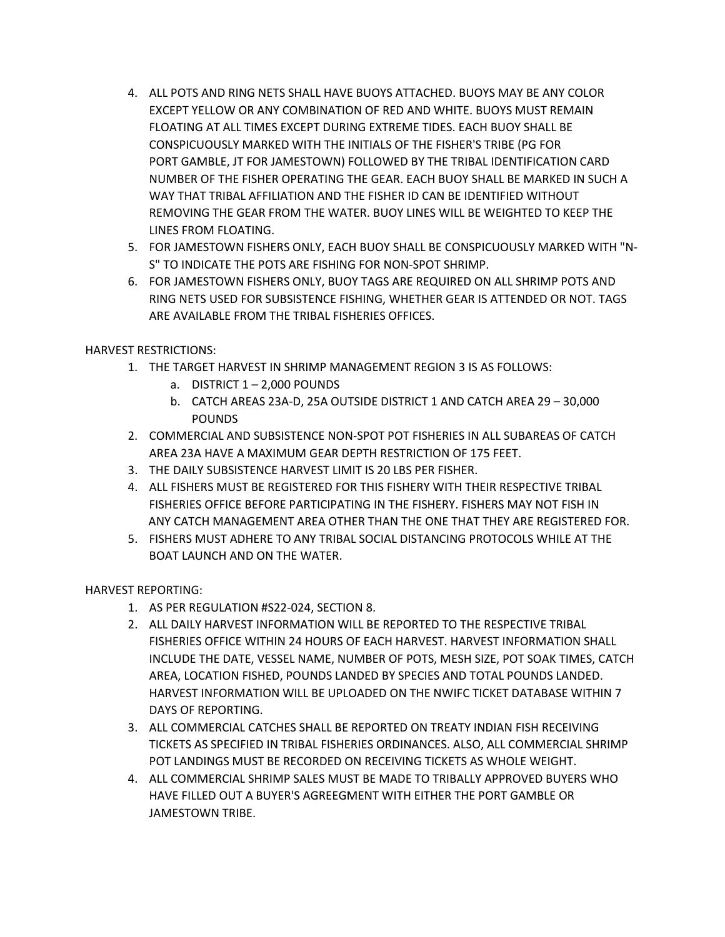- 4. ALL POTS AND RING NETS SHALL HAVE BUOYS ATTACHED. BUOYS MAY BE ANY COLOR EXCEPT YELLOW OR ANY COMBINATION OF RED AND WHITE. BUOYS MUST REMAIN FLOATING AT ALL TIMES EXCEPT DURING EXTREME TIDES. EACH BUOY SHALL BE CONSPICUOUSLY MARKED WITH THE INITIALS OF THE FISHER'S TRIBE (PG FOR PORT GAMBLE, JT FOR JAMESTOWN) FOLLOWED BY THE TRIBAL IDENTIFICATION CARD NUMBER OF THE FISHER OPERATING THE GEAR. EACH BUOY SHALL BE MARKED IN SUCH A WAY THAT TRIBAL AFFILIATION AND THE FISHER ID CAN BE IDENTIFIED WITHOUT REMOVING THE GEAR FROM THE WATER. BUOY LINES WILL BE WEIGHTED TO KEEP THE LINES FROM FLOATING.
- 5. FOR JAMESTOWN FISHERS ONLY, EACH BUOY SHALL BE CONSPICUOUSLY MARKED WITH "N-S" TO INDICATE THE POTS ARE FISHING FOR NON-SPOT SHRIMP.
- 6. FOR JAMESTOWN FISHERS ONLY, BUOY TAGS ARE REQUIRED ON ALL SHRIMP POTS AND RING NETS USED FOR SUBSISTENCE FISHING, WHETHER GEAR IS ATTENDED OR NOT. TAGS ARE AVAILABLE FROM THE TRIBAL FISHERIES OFFICES.

HARVEST RESTRICTIONS:

- 1. THE TARGET HARVEST IN SHRIMP MANAGEMENT REGION 3 IS AS FOLLOWS:
	- a. DISTRICT  $1 2,000$  POUNDS
	- b. CATCH AREAS 23A-D, 25A OUTSIDE DISTRICT 1 AND CATCH AREA 29 30,000 POUNDS
- 2. COMMERCIAL AND SUBSISTENCE NON-SPOT POT FISHERIES IN ALL SUBAREAS OF CATCH AREA 23A HAVE A MAXIMUM GEAR DEPTH RESTRICTION OF 175 FEET.
- 3. THE DAILY SUBSISTENCE HARVEST LIMIT IS 20 LBS PER FISHER.
- 4. ALL FISHERS MUST BE REGISTERED FOR THIS FISHERY WITH THEIR RESPECTIVE TRIBAL FISHERIES OFFICE BEFORE PARTICIPATING IN THE FISHERY. FISHERS MAY NOT FISH IN ANY CATCH MANAGEMENT AREA OTHER THAN THE ONE THAT THEY ARE REGISTERED FOR.
- 5. FISHERS MUST ADHERE TO ANY TRIBAL SOCIAL DISTANCING PROTOCOLS WHILE AT THE BOAT LAUNCH AND ON THE WATER.

HARVEST REPORTING:

- 1. AS PER REGULATION #S22-024, SECTION 8.
- 2. ALL DAILY HARVEST INFORMATION WILL BE REPORTED TO THE RESPECTIVE TRIBAL FISHERIES OFFICE WITHIN 24 HOURS OF EACH HARVEST. HARVEST INFORMATION SHALL INCLUDE THE DATE, VESSEL NAME, NUMBER OF POTS, MESH SIZE, POT SOAK TIMES, CATCH AREA, LOCATION FISHED, POUNDS LANDED BY SPECIES AND TOTAL POUNDS LANDED. HARVEST INFORMATION WILL BE UPLOADED ON THE NWIFC TICKET DATABASE WITHIN 7 DAYS OF REPORTING.
- 3. ALL COMMERCIAL CATCHES SHALL BE REPORTED ON TREATY INDIAN FISH RECEIVING TICKETS AS SPECIFIED IN TRIBAL FISHERIES ORDINANCES. ALSO, ALL COMMERCIAL SHRIMP POT LANDINGS MUST BE RECORDED ON RECEIVING TICKETS AS WHOLE WEIGHT.
- 4. ALL COMMERCIAL SHRIMP SALES MUST BE MADE TO TRIBALLY APPROVED BUYERS WHO HAVE FILLED OUT A BUYER'S AGREEGMENT WITH EITHER THE PORT GAMBLE OR JAMESTOWN TRIBE.